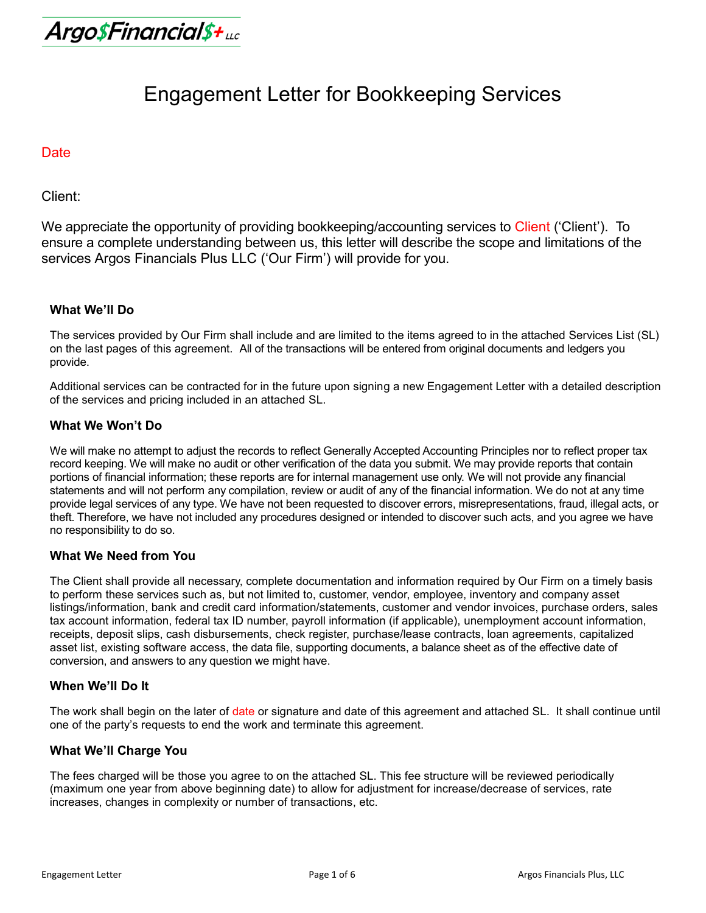Argo\$Financial\$+uc

# Engagement Letter for Bookkeeping Services

#### **Date**

Client:

We appreciate the opportunity of providing bookkeeping/accounting services to Client ('Client'). To ensure a complete understanding between us, this letter will describe the scope and limitations of the services Argos Financials Plus LLC ('Our Firm') will provide for you.

# **What We'll Do**

The services provided by Our Firm shall include and are limited to the items agreed to in the attached Services List (SL) on the last pages of this agreement. All of the transactions will be entered from original documents and ledgers you provide.

Additional services can be contracted for in the future upon signing a new Engagement Letter with a detailed description of the services and pricing included in an attached SL.

#### **What We Won't Do**

We will make no attempt to adjust the records to reflect Generally Accepted Accounting Principles nor to reflect proper tax record keeping. We will make no audit or other verification of the data you submit. We may provide reports that contain portions of financial information; these reports are for internal management use only. We will not provide any financial statements and will not perform any compilation, review or audit of any of the financial information. We do not at any time provide legal services of any type. We have not been requested to discover errors, misrepresentations, fraud, illegal acts, or theft. Therefore, we have not included any procedures designed or intended to discover such acts, and you agree we have no responsibility to do so.

# **What We Need from You**

The Client shall provide all necessary, complete documentation and information required by Our Firm on a timely basis to perform these services such as, but not limited to, customer, vendor, employee, inventory and company asset listings/information, bank and credit card information/statements, customer and vendor invoices, purchase orders, sales tax account information, federal tax ID number, payroll information (if applicable), unemployment account information, receipts, deposit slips, cash disbursements, check register, purchase/lease contracts, loan agreements, capitalized asset list, existing software access, the data file, supporting documents, a balance sheet as of the effective date of conversion, and answers to any question we might have.

#### **When We'll Do It**

The work shall begin on the later of date or signature and date of this agreement and attached SL. It shall continue until one of the party's requests to end the work and terminate this agreement.

#### **What We'll Charge You**

The fees charged will be those you agree to on the attached SL. This fee structure will be reviewed periodically (maximum one year from above beginning date) to allow for adjustment for increase/decrease of services, rate increases, changes in complexity or number of transactions, etc.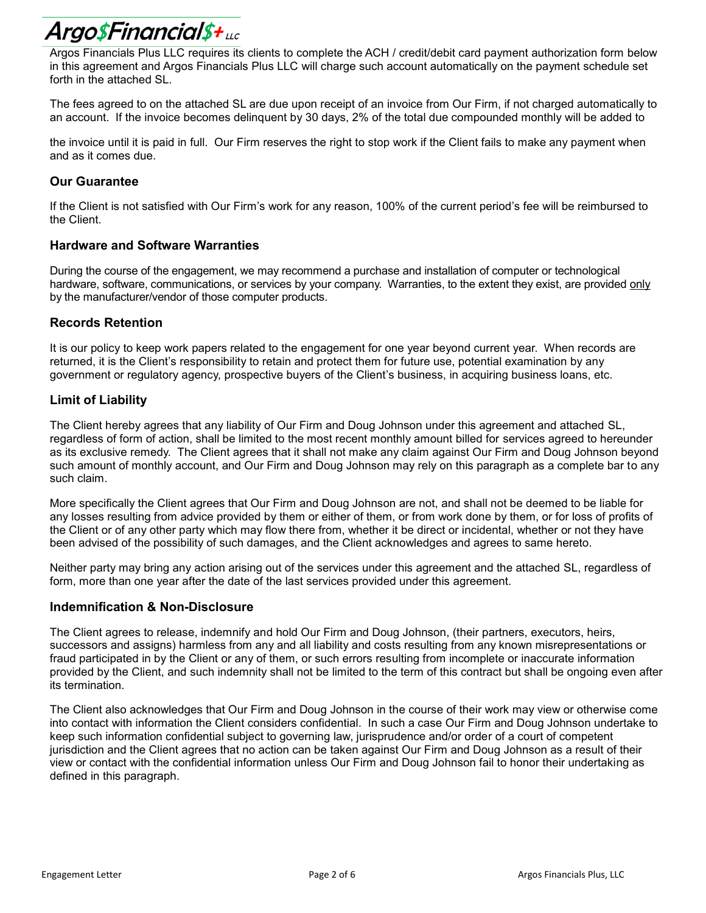# Argo\$Financial\$+uc

Argos Financials Plus LLC requires its clients to complete the ACH / credit/debit card payment authorization form below in this agreement and Argos Financials Plus LLC will charge such account automatically on the payment schedule set forth in the attached SL.

The fees agreed to on the attached SL are due upon receipt of an invoice from Our Firm, if not charged automatically to an account. If the invoice becomes delinquent by 30 days, 2% of the total due compounded monthly will be added to

the invoice until it is paid in full. Our Firm reserves the right to stop work if the Client fails to make any payment when and as it comes due.

# **Our Guarantee**

If the Client is not satisfied with Our Firm's work for any reason, 100% of the current period's fee will be reimbursed to the Client.

# **Hardware and Software Warranties**

During the course of the engagement, we may recommend a purchase and installation of computer or technological hardware, software, communications, or services by your company. Warranties, to the extent they exist, are provided only by the manufacturer/vendor of those computer products.

# **Records Retention**

It is our policy to keep work papers related to the engagement for one year beyond current year. When records are returned, it is the Client's responsibility to retain and protect them for future use, potential examination by any government or regulatory agency, prospective buyers of the Client's business, in acquiring business loans, etc.

# **Limit of Liability**

The Client hereby agrees that any liability of Our Firm and Doug Johnson under this agreement and attached SL, regardless of form of action, shall be limited to the most recent monthly amount billed for services agreed to hereunder as its exclusive remedy. The Client agrees that it shall not make any claim against Our Firm and Doug Johnson beyond such amount of monthly account, and Our Firm and Doug Johnson may rely on this paragraph as a complete bar to any such claim.

More specifically the Client agrees that Our Firm and Doug Johnson are not, and shall not be deemed to be liable for any losses resulting from advice provided by them or either of them, or from work done by them, or for loss of profits of the Client or of any other party which may flow there from, whether it be direct or incidental, whether or not they have been advised of the possibility of such damages, and the Client acknowledges and agrees to same hereto.

Neither party may bring any action arising out of the services under this agreement and the attached SL, regardless of form, more than one year after the date of the last services provided under this agreement.

# **Indemnification & Non-Disclosure**

The Client agrees to release, indemnify and hold Our Firm and Doug Johnson, (their partners, executors, heirs, successors and assigns) harmless from any and all liability and costs resulting from any known misrepresentations or fraud participated in by the Client or any of them, or such errors resulting from incomplete or inaccurate information provided by the Client, and such indemnity shall not be limited to the term of this contract but shall be ongoing even after its termination.

The Client also acknowledges that Our Firm and Doug Johnson in the course of their work may view or otherwise come into contact with information the Client considers confidential. In such a case Our Firm and Doug Johnson undertake to keep such information confidential subject to governing law, jurisprudence and/or order of a court of competent jurisdiction and the Client agrees that no action can be taken against Our Firm and Doug Johnson as a result of their view or contact with the confidential information unless Our Firm and Doug Johnson fail to honor their undertaking as defined in this paragraph.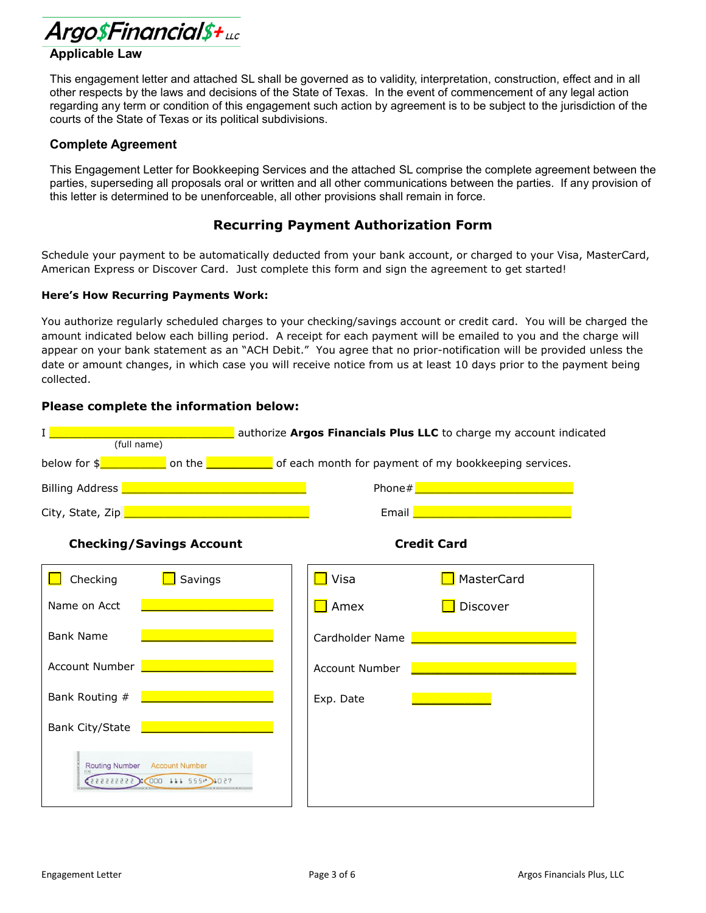

# **Applicable Law**

This engagement letter and attached SL shall be governed as to validity, interpretation, construction, effect and in all other respects by the laws and decisions of the State of Texas. In the event of commencement of any legal action regarding any term or condition of this engagement such action by agreement is to be subject to the jurisdiction of the courts of the State of Texas or its political subdivisions.

#### **Complete Agreement**

This Engagement Letter for Bookkeeping Services and the attached SL comprise the complete agreement between the parties, superseding all proposals oral or written and all other communications between the parties. If any provision of this letter is determined to be unenforceable, all other provisions shall remain in force.

# **Recurring Payment Authorization Form**

Schedule your payment to be automatically deducted from your bank account, or charged to your Visa, MasterCard, American Express or Discover Card. Just complete this form and sign the agreement to get started!

#### **Here's How Recurring Payments Work:**

You authorize regularly scheduled charges to your checking/savings account or credit card. You will be charged the amount indicated below each billing period. A receipt for each payment will be emailed to you and the charge will appear on your bank statement as an "ACH Debit." You agree that no prior-notification will be provided unless the date or amount changes, in which case you will receive notice from us at least 10 days prior to the payment being collected.

#### **Please complete the information below:**

| T<br>authorize Argos Financials Plus LLC to charge my account indicated<br>(full name)    |                                                                                                                                                                     |  |  |  |  |
|-------------------------------------------------------------------------------------------|---------------------------------------------------------------------------------------------------------------------------------------------------------------------|--|--|--|--|
|                                                                                           | below for $\frac{1}{2}$ on the $\frac{1}{2}$ of each month for payment of my bookkeeping services.                                                                  |  |  |  |  |
| Billing Address <b>No. 1986</b> - Allen Maria Contractor Contractor Contractor Contractor | Phone# <u>All and the second the second second</u>                                                                                                                  |  |  |  |  |
| City, State, Zip <b>Entrance and City</b> , State, Zip                                    | Email <u>December 2007 - Andrea State and The Board Communications</u>                                                                                              |  |  |  |  |
| <b>Checking/Savings Account</b>                                                           | <b>Credit Card</b>                                                                                                                                                  |  |  |  |  |
| Checking<br>Savings                                                                       | Visa<br>MasterCard                                                                                                                                                  |  |  |  |  |
| Name on Acct                                                                              | Amex<br>Discover                                                                                                                                                    |  |  |  |  |
| <b>Bank Name</b>                                                                          | Cardholder Name <b>Cardholder Name</b>                                                                                                                              |  |  |  |  |
| Account Number <b>National Account Number</b>                                             | Account Number                                                                                                                                                      |  |  |  |  |
| the contract of the contract of the<br>Bank Routing #                                     | $\mathcal{L}(\mathcal{L})$ and $\mathcal{L}(\mathcal{L})$ and $\mathcal{L}(\mathcal{L})$ and $\mathcal{L}(\mathcal{L})$ and $\mathcal{L}(\mathcal{L})$<br>Exp. Date |  |  |  |  |
| Bank City/State                                                                           |                                                                                                                                                                     |  |  |  |  |
| Routing Number Account Number<br>(2222222223:000:411 555")1027                            |                                                                                                                                                                     |  |  |  |  |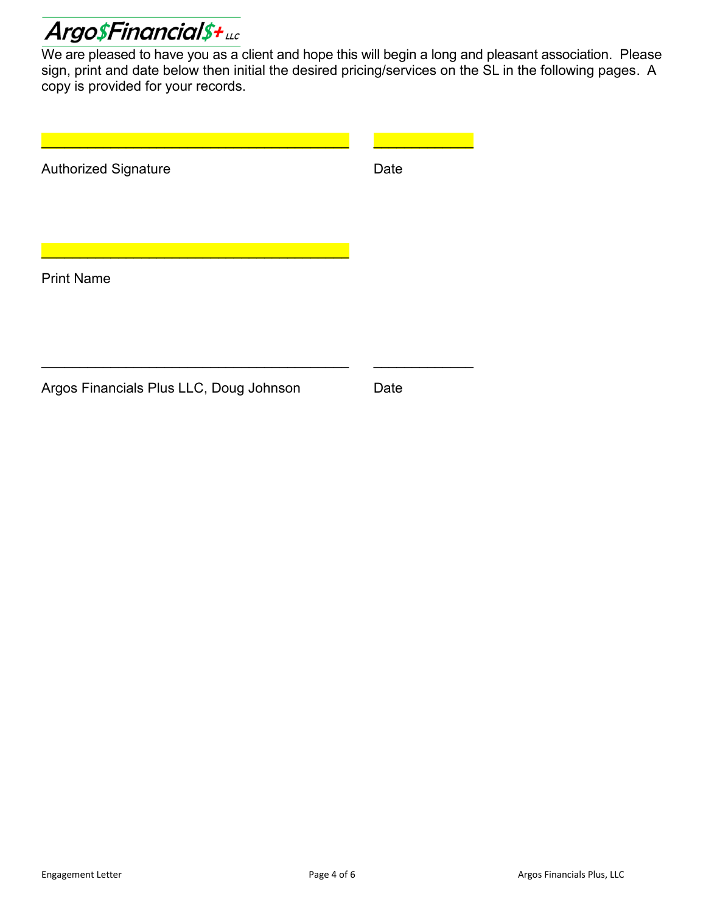

We are pleased to have you as a client and hope this will begin a long and pleasant association. Please sign, print and date below then initial the desired pricing/services on the SL in the following pages. A copy is provided for your records.

| <b>Authorized Signature</b>             | Date |  |
|-----------------------------------------|------|--|
| <b>Print Name</b>                       |      |  |
|                                         |      |  |
| Argos Financials Plus LLC, Doug Johnson | Date |  |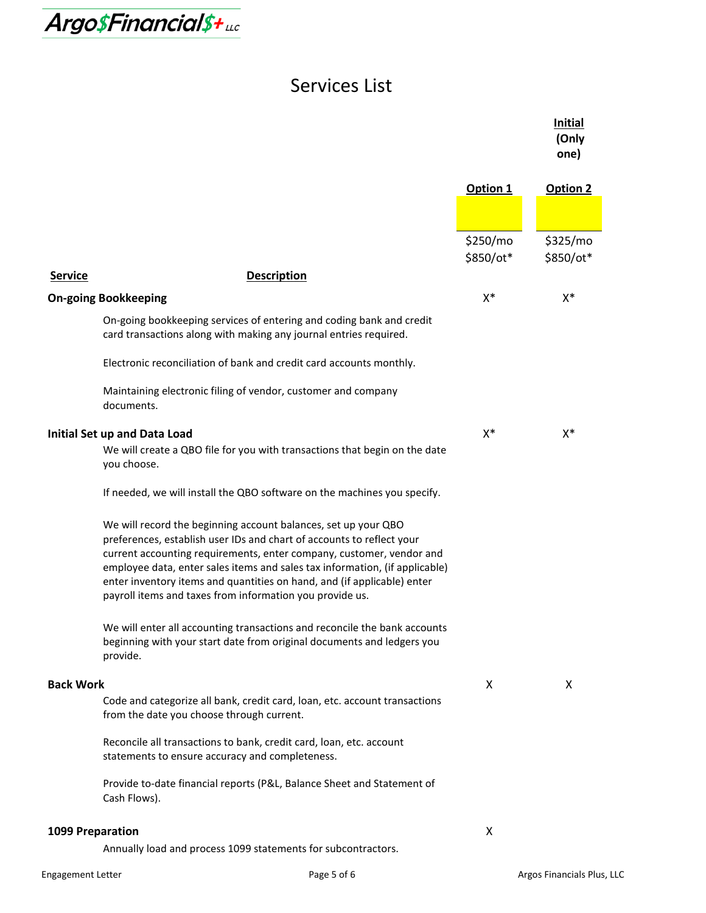

# Services List

|                  |                                                                                                                                                                                                                                                                                                                                                                                                                                       |                       | <b>Initial</b><br>(Only<br>one) |
|------------------|---------------------------------------------------------------------------------------------------------------------------------------------------------------------------------------------------------------------------------------------------------------------------------------------------------------------------------------------------------------------------------------------------------------------------------------|-----------------------|---------------------------------|
|                  |                                                                                                                                                                                                                                                                                                                                                                                                                                       | Option 1              | Option 2                        |
|                  |                                                                                                                                                                                                                                                                                                                                                                                                                                       |                       |                                 |
|                  |                                                                                                                                                                                                                                                                                                                                                                                                                                       | \$250/mo<br>\$850/ot* | \$325/mo<br>\$850/ot*           |
| <b>Service</b>   | <b>Description</b>                                                                                                                                                                                                                                                                                                                                                                                                                    |                       |                                 |
|                  | <b>On-going Bookkeeping</b>                                                                                                                                                                                                                                                                                                                                                                                                           | X*                    | X*                              |
|                  | On-going bookkeeping services of entering and coding bank and credit<br>card transactions along with making any journal entries required.                                                                                                                                                                                                                                                                                             |                       |                                 |
|                  | Electronic reconciliation of bank and credit card accounts monthly.                                                                                                                                                                                                                                                                                                                                                                   |                       |                                 |
|                  | Maintaining electronic filing of vendor, customer and company<br>documents.                                                                                                                                                                                                                                                                                                                                                           |                       |                                 |
|                  | <b>Initial Set up and Data Load</b><br>We will create a QBO file for you with transactions that begin on the date<br>you choose.                                                                                                                                                                                                                                                                                                      | $X^*$                 | X*                              |
|                  | If needed, we will install the QBO software on the machines you specify.                                                                                                                                                                                                                                                                                                                                                              |                       |                                 |
|                  | We will record the beginning account balances, set up your QBO<br>preferences, establish user IDs and chart of accounts to reflect your<br>current accounting requirements, enter company, customer, vendor and<br>employee data, enter sales items and sales tax information, (if applicable)<br>enter inventory items and quantities on hand, and (if applicable) enter<br>payroll items and taxes from information you provide us. |                       |                                 |
|                  | We will enter all accounting transactions and reconcile the bank accounts<br>beginning with your start date from original documents and ledgers you<br>provide.                                                                                                                                                                                                                                                                       |                       |                                 |
| <b>Back Work</b> |                                                                                                                                                                                                                                                                                                                                                                                                                                       | X                     | X                               |
|                  | Code and categorize all bank, credit card, loan, etc. account transactions<br>from the date you choose through current.                                                                                                                                                                                                                                                                                                               |                       |                                 |
|                  | Reconcile all transactions to bank, credit card, loan, etc. account<br>statements to ensure accuracy and completeness.                                                                                                                                                                                                                                                                                                                |                       |                                 |
|                  | Provide to-date financial reports (P&L, Balance Sheet and Statement of<br>Cash Flows).                                                                                                                                                                                                                                                                                                                                                |                       |                                 |
| 1099 Preparation |                                                                                                                                                                                                                                                                                                                                                                                                                                       | X                     |                                 |

Annually load and process 1099 statements for subcontractors.